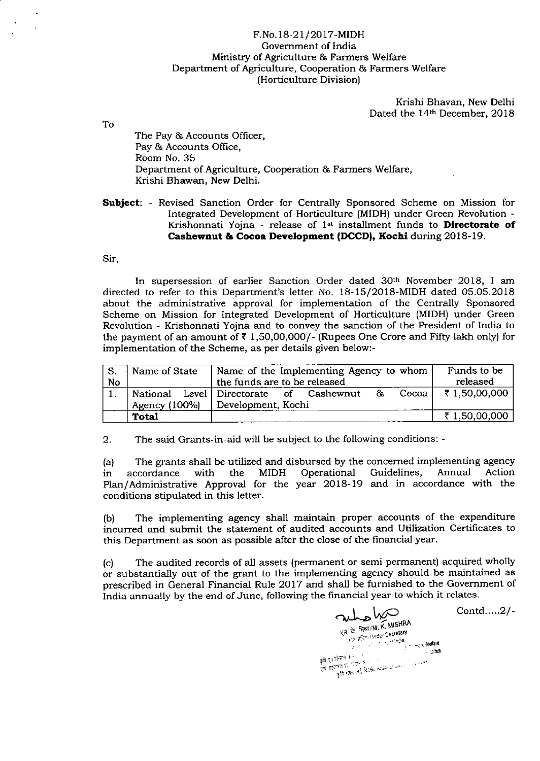## F.No.18-21/2017-MIDH Government of India Ministry of Agriculture & Farmers Welfare Department of Agriculture, Cooperation & Farmers Welfare (Horticulture Division)

Krishi Bhavan, New Delhi Dated the 14th December, 2018

To

The Pay & Accounts Ofhcer, Pay & Accounts Office, Room No. 35 Department of Agriculture, Cooperation & Farmers Welfare, Krishi Bhawan, New Delhi.

**Subject:** - Revised Sanction Order for Centrally Sponsored Scheme on Mission for Integrated Development of Horticulture (MIDH) under Green Revolution - Krishonnati Yojna - release of  $1<sup>st</sup>$  installment funds to **Directorate of** Cashewnut & Cocoa Development (DCCD), Kochi during 2018-19.

Sir,

In supersession of earlier Sanction Order dated 3oth November 2018, I am directed to refer to this Department's letter No. i8-15/20l8-MIDH dated 05.05.2018 about the administrative approval for implementation of the Centrally Sponsored Scheme on Mission for Integrated Development of Horticulture (MIDH) under Green Revolution - Krishonnati Yojna and to convey the sanction of the President of India to the payment of an amount of  $\bar{\tau}$  1,50,00,000/- (Rupees One Crore and Fifty lakh only) for implementation of the Scheme, as per details given below:-

|           | Name of State                | Name of the Implementing Agency to whom      | Funds to be   |
|-----------|------------------------------|----------------------------------------------|---------------|
| <b>No</b> | the funds are to be released |                                              | released      |
|           | National                     | Level Directorate of Cashewnut<br>&<br>Cocoa | ₹1,50,00,000  |
|           | Agency $(100\%)$             | Development, Kochi                           |               |
|           | <b>Total</b>                 |                                              | ₹ 1,50,00,000 |

2. The said Grants-in-aid will be subject to the following conditions: -

(a) The grants shall be utilized and disbursed by the concerned implementing agency<br>in accordance with the MIDH Operational Guidelines, Annual Action in accordance with the MIDH Operational Guidelines, Annual Action Plan/Administrative Approval for the year 2018-19 and in accordance with the conditions stipulated in this letter.

(b) The implementing agency shall maintain proper accounts of the expenditure incurred and submit the statement of audited accounts and Utilization Certificates to this Department as soon as possible after the close of the financial year.

(c) The audited records of all assets (permanent or semi permanent) acquired wholly or substantially out of the grant to the implementing agency should be maintained as prescribed in General Financial Rule 2017 and shall be furnished to the Government of India annually by the end of June, following the financial year to which it relates.

WE MANUSHEA<br>THE T-BRITIM. K. MISHEA<br>THE T-BRITISH CONTRACT CONTRACT CONTRACT CONTRACT CONTRACT CONTRACT CONTRACT CONTRACT CONTRACT CONTRACT CONTRACT CONTRACT CONTRACT CONTRACT CONTRACT CONTRACT CONTRACT CONTRACT CONTRACT C anakan<br>anakan flr"11'r=.. ?zq- 11l(..1, i''L'- ""

Contd.....2/-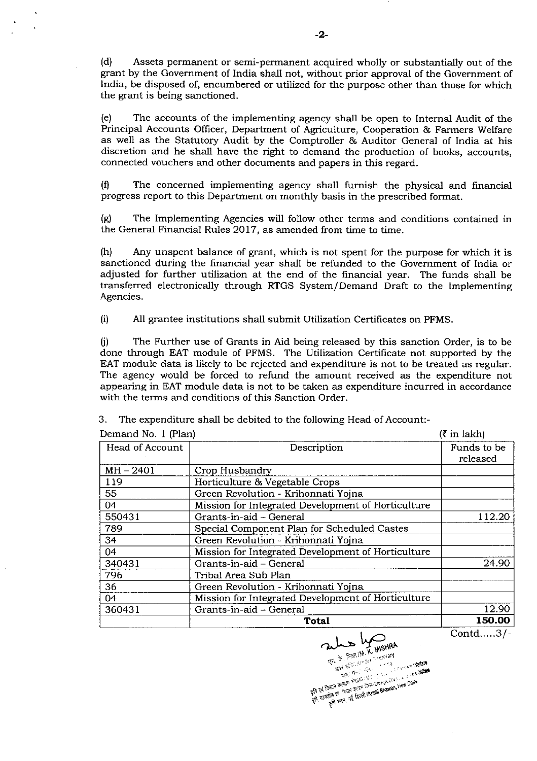(d) Assets permanent or semi-permanent acquired wholly or substantially out of the grant by the Government of India shall not, without prior approval of the Government of India, be disposed of, encumbered or utiiized for the purpose other than those for which the grant is being sanctioned.

(e) The accounts of the implementing agenry shal1 be open to Internal Audit of the Principal Accounts Officer, Department of Agriculture, Cooperation & Farmers Welfare as well as the Statutory Audit by the Comptroller & Auditor General of India at his discretion and he shall have the right to demand the production of books, accounts, connected vouchers and other documents and papers in this regard.

 $(1)$  The concerned implementing agency shall furnish the physical and financial progress report to this Department on monthly basis in the prescribed format.

(g) The Implementing Agencies will follow other terms and conditions contained in the General Financial Rules 2017, as amended from time to time.

(h) Any unspent balance of grant, which is not spent for the purpose for which it is sanctioned during the hnancial year shal1 be refunded to the Government of India or adjusted for further utilization at the end of the financial year. The funds shall be transferred electronically through RTGS System/Demand Draft to the Implementing Agencies.

(i) All grantee institutions shall submit Utilization Certificates on PFMS.

U) The Further use of Grants in Aid being released by this sanction Order, is to be done through EAT module of PFMS. The Utilization Certiflcate not supported by the EAT module data is likely to be rejected and expenditure is not to be treated as regular. The agency would be forced to refund the amount received as the expenditure not appearing in EAT module data is not to be taken as expenditure incurred in accordance with the terms and conditions of this Sanction Order.

| Demand No. 1 (Plan) | $(3 \in \mathbb{R}^2)$                             |                         |
|---------------------|----------------------------------------------------|-------------------------|
| Head of Account     | Description                                        | Funds to be<br>released |
| $MH - 2401$         | Crop Husbandry                                     |                         |
| 119                 | Horticulture & Vegetable Crops                     |                         |
| 55                  | Green Revolution - Krihonnati Yojna                |                         |
| 04                  | Mission for Integrated Development of Horticulture |                         |
| 550431              | Grants-in-aid - General                            | 112.20                  |
| 789                 | Special Component Plan for Scheduled Castes        |                         |
| 34                  | Green Revolution - Krihonnati Yojna                |                         |
| 04                  | Mission for Integrated Development of Horticulture |                         |
| 340431              | Grants-in-aid - General                            | 24.90                   |
| 796                 | Tribal Area Sub Plan                               |                         |
| 36                  | Green Revolution - Krihonnati Yojna                |                         |
| 04                  | Mission for Integrated Development of Horticulture |                         |
| 360431              | Grants-in-aid - General                            | 12.90                   |
|                     | Total                                              | 150.00                  |

3. The expenditure shall be debited to the following Head of Account:-

Contd.....3/ -

ale by wisHRA  $\approx 2.2$  . Fig. 1 M, K, with  $\frac{1}{2}$ C'EL CON ELECCIONALE COMPANY (1997)

g# vi (ber 1) decade the second of the second of the second of the second of the second of the second of the second of the second of the second of the second of the second of the second of the second of the second of the s

" ,-,, " .,uis

-2-